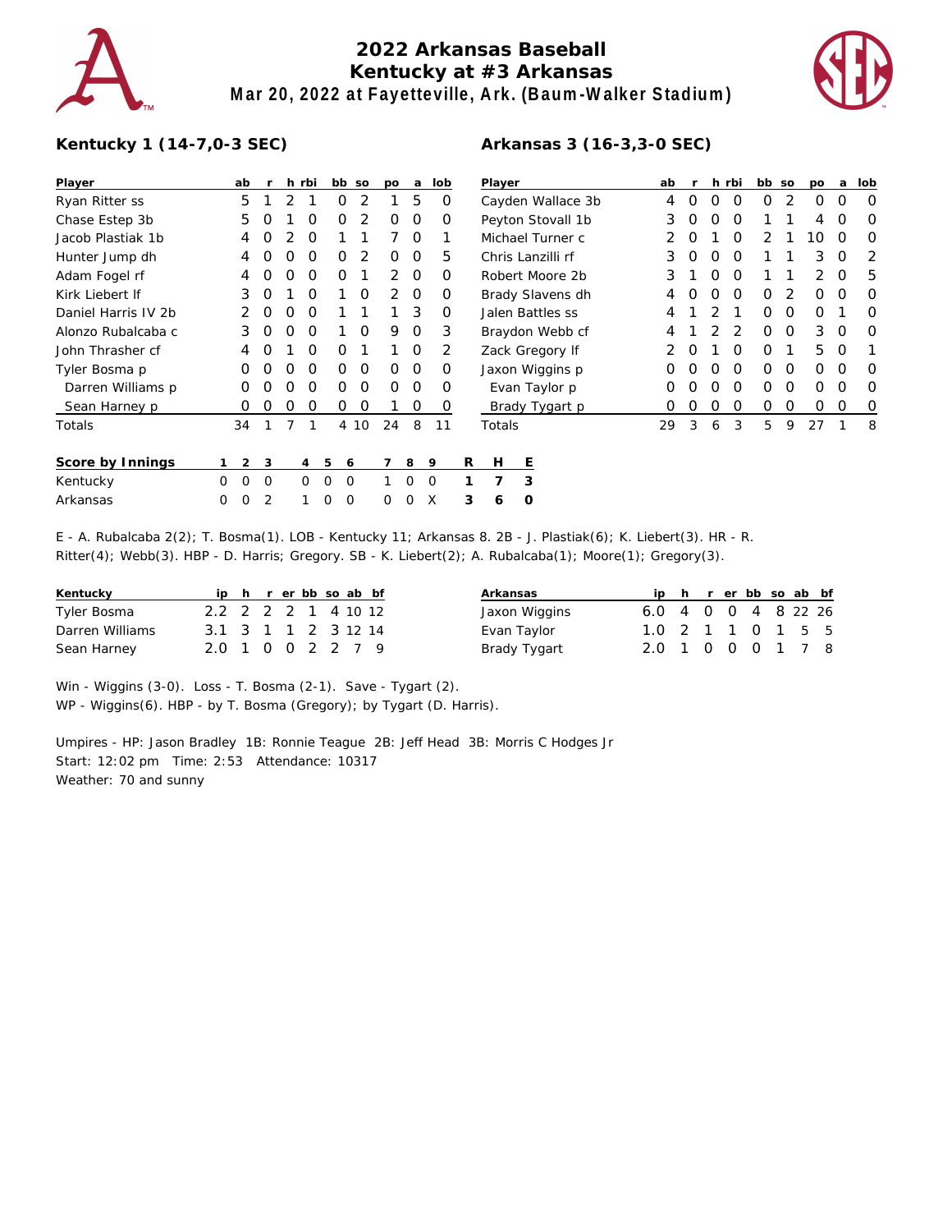

## **2022 Arkansas Baseball Kentucky at #3 Arkansas Mar 20, 2022 at Fayetteville, Ark. (Baum-Walker Stadium)**



**Arkansas ip h r er bb so ab bf** Jaxon Wiggins 6.0 4 0 0 4 8 22 26 1.0 2 1 1 0 1 5 5 Brady Tygart 2.0 1 0 0 0 1 7 8

## **Kentucky 1 (14-7,0-3 SEC)**

| Player              |   | ab             |                  |                  | h rbi          |         | bb so | po       | a              | lob |   | Player |                   | ab |   |          | h rbi    | bb so |   | po           | a | lob      |
|---------------------|---|----------------|------------------|------------------|----------------|---------|-------|----------|----------------|-----|---|--------|-------------------|----|---|----------|----------|-------|---|--------------|---|----------|
| Ryan Ritter ss      |   | 5              |                  |                  |                | 0       | 2     |          | 5              | 0   |   |        | Cayden Wallace 3b | 4  | 0 | $\Omega$ | O        | 0     | 2 | 0            | O | 0        |
| Chase Estep 3b      |   | 5              | $\left( \right)$ |                  | 0              | 0       | 2     | 0        | $\circ$        | 0   |   |        | Peyton Stovall 1b | 3  | 0 | 0        | 0        |       |   | 4            | O | 0        |
| Jacob Plastiak 1b   |   | 4              | $\Omega$         |                  | O              |         |       |          | $\Omega$       |     |   |        | Michael Turner c  |    | 0 |          | O        | 2     |   | 10           | O | $\Omega$ |
| Hunter Jump dh      |   | 4              | $\left($         | $\left( \right)$ | O              | 0       | 2     | $\Omega$ | $\overline{O}$ | 5   |   |        | Chris Lanzilli rf | 3  | 0 | 0        | $\Omega$ |       |   | 3            | O | 2        |
| Adam Fogel rf       |   | 4              | $\left($         | O                | O              | 0       |       | 2        | $\circ$        | 0   |   |        | Robert Moore 2b   | 3  |   | O        | $\Omega$ |       |   | 2            | 0 | 5        |
| Kirk Liebert If     |   | 3              | $\Omega$         |                  | O              |         | 0     | 2        | $\circ$        | 0   |   |        | Brady Slavens dh  | 4  | 0 | 0        | 0        | 0     | 2 | 0            | 0 | 0        |
| Daniel Harris IV 2b |   |                | $\Omega$         | O                | O              |         |       |          | 3              | 0   |   |        | Jalen Battles ss  | 4  |   |          |          | 0     | 0 | 0            |   | 0        |
| Alonzo Rubalcaba c  |   | 3              | $\Omega$         | O                | O              |         | 0     | 9        | 0              | 3   |   |        | Braydon Webb cf   | 4  |   |          |          | 0     | 0 | 3            | 0 | 0        |
| John Thrasher cf    |   | 4              | $\left( \right)$ |                  | O              | 0       |       |          | $\circ$        | 2   |   |        | Zack Gregory If   |    | O |          | O        | 0     |   | 5            | 0 |          |
| Tyler Bosma p       |   | 0              | $\Omega$         | $\left($         | O              | 0       | 0     | $\Omega$ | $\circ$        | 0   |   |        | Jaxon Wiggins p   | Ο  |   | O        | 0        | 0     | 0 | 0            | 0 | $\Omega$ |
| Darren Williams p   |   | 0              | $\left( \right)$ | $\left( \right)$ | O              | 0       | 0     | $\Omega$ | $\circ$        | O   |   |        | Evan Taylor p     | O  | O | 0        | 0        | 0     | 0 | 0            | O | $\Omega$ |
| Sean Harney p       |   | 0              | 0                | O                | 0              | 0       | 0     |          | 0              | 0   |   |        | Brady Tygart p    | 0  | 0 | 0        | 0        | 0     | 0 | $\mathbf{O}$ | 0 | 0        |
| Totals              |   | 34             |                  |                  |                |         | 4 10  | 24       | 8              | 11  |   | Totals |                   | 29 | 3 | 6        | 3        | 5     | 9 | 27           |   | 8        |
| Score by Innings    |   | $\overline{2}$ | 3                |                  | $\overline{4}$ | 5       | 6     |          | 8              | 9   | R | Н      | Ε                 |    |   |          |          |       |   |              |   |          |
| Kentucky            | 0 | 0              | $\Omega$         |                  | $\circ$        | $\circ$ | 0     |          | 0              | 0   |   | 7      | 3                 |    |   |          |          |       |   |              |   |          |
| Arkansas            | 0 | 0              | 2                |                  |                | 0       | 0     | 0        | 0              | X   | 3 | 6      | O                 |    |   |          |          |       |   |              |   |          |

E - A. Rubalcaba 2(2); T. Bosma(1). LOB - Kentucky 11; Arkansas 8. 2B - J. Plastiak(6); K. Liebert(3). HR - R. Ritter(4); Webb(3). HBP - D. Harris; Gregory. SB - K. Liebert(2); A. Rubalcaba(1); Moore(1); Gregory(3).

| Kentucky        |  |  | ip h r er bb so ab bf | Arkansas      |
|-----------------|--|--|-----------------------|---------------|
| Tyler Bosma     |  |  | 2.2 2 2 2 1 4 10 12   | Jaxon Wiggins |
| Darren Williams |  |  | 3.1 3 1 1 2 3 12 14   | Evan Taylor   |
| Sean Harney     |  |  | 201002279             | Brady Tygart  |

Win - Wiggins (3-0). Loss - T. Bosma (2-1). Save - Tygart (2). WP - Wiggins(6). HBP - by T. Bosma (Gregory); by Tygart (D. Harris).

Umpires - HP: Jason Bradley 1B: Ronnie Teague 2B: Jeff Head 3B: Morris C Hodges Jr Start: 12:02 pm Time: 2:53 Attendance: 10317 Weather: 70 and sunny

## **Arkansas 3 (16-3,3-0 SEC)**